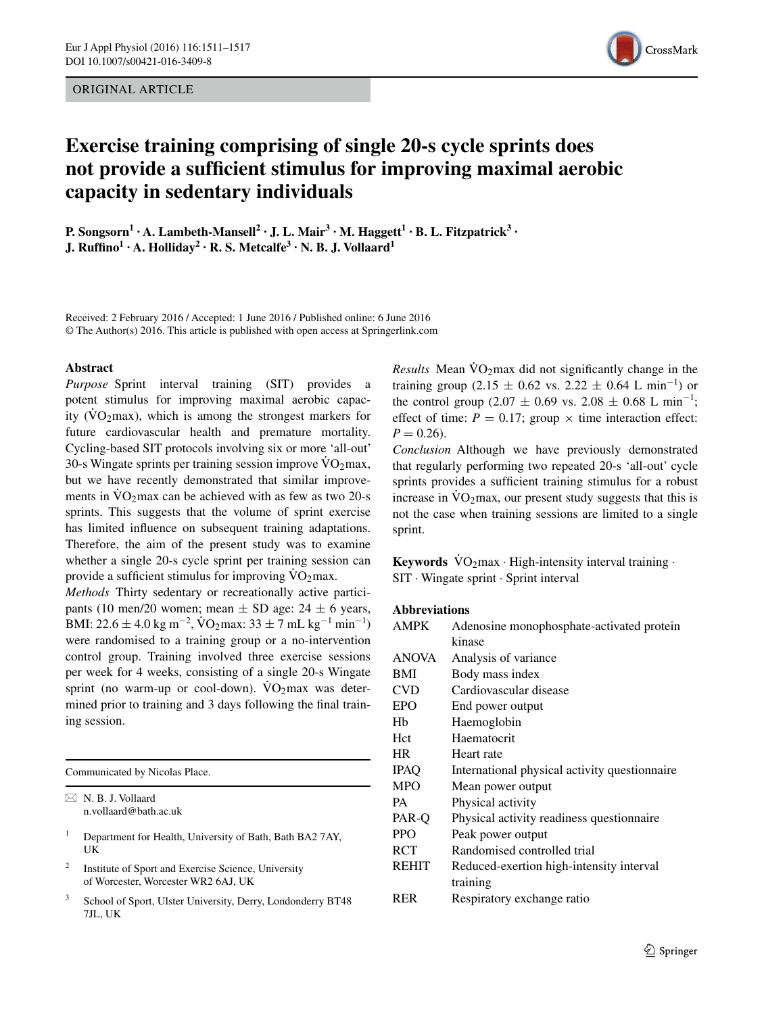ORIGINAL ARTICLE



# **Exercise training comprising of single 20‑s cycle sprints does not provide a sufficient stimulus for improving maximal aerobic capacity in sedentary individuals**

**P.**  $\text{Songsorn}^1 \cdot \text{A}$ .  $\text{Lambeth-Mansell}^2 \cdot \text{J}$ .  $\text{L}$ .  $\text{Mair}^3 \cdot \text{M}$ .  $\text{Haggett}^1 \cdot \text{B}$ .  $\text{L}$ . Fitzpatrick<sup>3</sup> · **J. Ruffino<sup>1</sup> · A. Holliday2 · R. S. Metcalfe3 · N. B. J. Vollaard1**

Received: 2 February 2016 / Accepted: 1 June 2016 / Published online: 6 June 2016 © The Author(s) 2016. This article is published with open access at Springerlink.com

#### **Abstract**

*Purpose* Sprint interval training (SIT) provides a potent stimulus for improving maximal aerobic capacity ( $\rm\dot{VO}_{2}$ max), which is among the strongest markers for future cardiovascular health and premature mortality. Cycling-based SIT protocols involving six or more 'all-out' 30-s Wingate sprints per training session improve  $\rm\ddot{V}O_2$  max, but we have recently demonstrated that similar improvements in  $\rm\dot{VO}\gamma\,max$  can be achieved with as few as two 20-s sprints. This suggests that the volume of sprint exercise has limited influence on subsequent training adaptations. Therefore, the aim of the present study was to examine whether a single 20-s cycle sprint per training session can provide a sufficient stimulus for improving  $\dot{V}O_2$  max.

*Methods* Thirty sedentary or recreationally active participants (10 men/20 women; mean  $\pm$  SD age: 24  $\pm$  6 years, BMI: 22.6 ± 4.0 kg m<sup>-2</sup>, VO<sub>2</sub> max: 33 ± 7 mL kg<sup>-1</sup> min<sup>-1</sup>) were randomised to a training group or a no-intervention control group. Training involved three exercise sessions per week for 4 weeks, consisting of a single 20-s Wingate sprint (no warm-up or cool-down).  $VO<sub>2</sub>max$  was determined prior to training and 3 days following the final training session.

Communicated by Nicolas Place.

 $\boxtimes$  N. B. J. Vollaard n.vollaard@bath.ac.uk

- <sup>1</sup> Department for Health, University of Bath, Bath BA2 7AY, UK
- <sup>2</sup> Institute of Sport and Exercise Science, University of Worcester, Worcester WR2 6AJ, UK
- School of Sport, Ulster University, Derry, Londonderry BT48 7JL, UK

*Results* Mean  $\dot{V}O_2$  max did not significantly change in the training group (2.15 ± 0.62 vs. 2.22 ± 0.64 L min<sup>-1</sup>) or the control group (2.07  $\pm$  0.69 vs. 2.08  $\pm$  0.68 L min<sup>-1</sup>; effect of time:  $P = 0.17$ ; group  $\times$  time interaction effect:  $P = 0.26$ .

*Conclusion* Although we have previously demonstrated that regularly performing two repeated 20-s 'all-out' cycle sprints provides a sufficient training stimulus for a robust increase in  $\dot{V}O_2$  max, our present study suggests that this is not the case when training sessions are limited to a single sprint.

**Keywords**  $\text{VO}_2$ max · High-intensity interval training · SIT · Wingate sprint · Sprint interval

# **Abbreviations**

| <b>AMPK</b>  | Adenosine monophosphate-activated protein     |
|--------------|-----------------------------------------------|
|              | kinase                                        |
| <b>ANOVA</b> | Analysis of variance                          |
| <b>BMI</b>   | Body mass index                               |
| CVD          | Cardiovascular disease                        |
| EPO          | End power output                              |
| Hh           | Haemoglobin                                   |
| Hct          | Haematocrit                                   |
| <b>HR</b>    | Heart rate                                    |
| <b>IPAO</b>  | International physical activity questionnaire |
| <b>MPO</b>   | Mean power output                             |
| <b>PA</b>    | Physical activity                             |
| PAR-O        | Physical activity readiness questionnaire     |
| <b>PPO</b>   | Peak power output                             |
| RCT          | Randomised controlled trial                   |
| <b>REHIT</b> | Reduced-exertion high-intensity interval      |
|              | training                                      |
| <b>RER</b>   | Respiratory exchange ratio                    |
|              |                                               |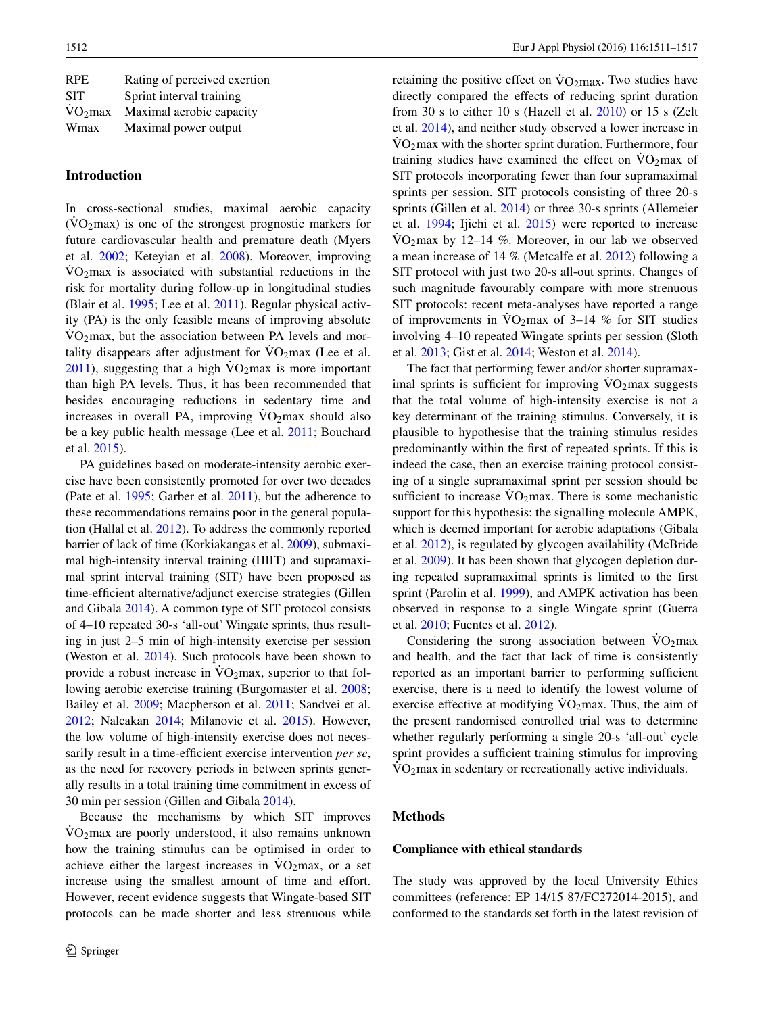| <b>RPE</b>       | Rating of perceived exertion |
|------------------|------------------------------|
| <b>SIT</b>       | Sprint interval training     |
| $\dot{V}O_2$ max | Maximal aerobic capacity     |
| Wmax             | Maximal power output         |

# **Introduction**

In cross-sectional studies, maximal aerobic capacity  $(VO<sub>2</sub>max)$  is one of the strongest prognostic markers for future cardiovascular health and premature death (Myers et al. [2002](#page-6-0); Keteyian et al. [2008](#page-5-0)). Moreover, improving  $VO<sub>2</sub>$  max is associated with substantial reductions in the risk for mortality during follow-up in longitudinal studies (Blair et al. [1995](#page-5-1); Lee et al. [2011](#page-5-2)). Regular physical activity (PA) is the only feasible means of improving absolute  $\rm\dot{VO}_2$  max, but the association between PA levels and mortality disappears after adjustment for  $\rm\dot{V}O_2$  max (Lee et al.  $2011$ ), suggesting that a high  $\rm VO<sub>2</sub>max$  is more important than high PA levels. Thus, it has been recommended that besides encouraging reductions in sedentary time and increases in overall PA, improving  $VO<sub>2</sub>$  max should also be a key public health message (Lee et al. [2011](#page-5-2); Bouchard et al. [2015\)](#page-5-3).

PA guidelines based on moderate-intensity aerobic exercise have been consistently promoted for over two decades (Pate et al. [1995;](#page-6-1) Garber et al. [2011\)](#page-5-4), but the adherence to these recommendations remains poor in the general population (Hallal et al. [2012\)](#page-5-5). To address the commonly reported barrier of lack of time (Korkiakangas et al. [2009\)](#page-5-6), submaximal high-intensity interval training (HIIT) and supramaximal sprint interval training (SIT) have been proposed as time-efficient alternative/adjunct exercise strategies (Gillen and Gibala [2014](#page-5-7)). A common type of SIT protocol consists of 4–10 repeated 30-s 'all-out' Wingate sprints, thus resulting in just 2–5 min of high-intensity exercise per session (Weston et al. [2014](#page-6-2)). Such protocols have been shown to provide a robust increase in  $\rm\ddot{V}O_2$  max, superior to that following aerobic exercise training (Burgomaster et al. [2008](#page-5-8); Bailey et al. [2009](#page-5-9); Macpherson et al. [2011](#page-5-10); Sandvei et al. [2012](#page-6-3); Nalcakan [2014;](#page-6-4) Milanovic et al. [2015](#page-6-5)). However, the low volume of high-intensity exercise does not necessarily result in a time-efficient exercise intervention *per se*, as the need for recovery periods in between sprints generally results in a total training time commitment in excess of 30 min per session (Gillen and Gibala [2014](#page-5-7)).

Because the mechanisms by which SIT improves  $VO<sub>2</sub>max$  are poorly understood, it also remains unknown how the training stimulus can be optimised in order to achieve either the largest increases in  $\dot{V}O_2$  max, or a set increase using the smallest amount of time and effort. However, recent evidence suggests that Wingate-based SIT protocols can be made shorter and less strenuous while retaining the positive effect on  $\dot{V}_{\Omega}$ <sub>max</sub>. Two studies have directly compared the effects of reducing sprint duration from 30 s to either 10 s (Hazell et al. [2010](#page-5-11)) or 15 s (Zelt et al. [2014\)](#page-6-6), and neither study observed a lower increase in  $\rm\dot{VO}_{2}$  max with the shorter sprint duration. Furthermore, four training studies have examined the effect on  $\rm VO_2$  max of SIT protocols incorporating fewer than four supramaximal sprints per session. SIT protocols consisting of three 20-s sprints (Gillen et al. [2014](#page-5-12)) or three 30-s sprints (Allemeier et al. [1994;](#page-5-13) Ijichi et al. [2015](#page-5-14)) were reported to increase  $\text{VO}_2$  max by 12–14 %. Moreover, in our lab we observed a mean increase of 14 % (Metcalfe et al. [2012](#page-6-7)) following a SIT protocol with just two 20-s all-out sprints. Changes of such magnitude favourably compare with more strenuous SIT protocols: recent meta-analyses have reported a range of improvements in  $\text{VO}_2$  max of 3–14 % for SIT studies involving 4–10 repeated Wingate sprints per session (Sloth et al. [2013](#page-6-8); Gist et al. [2014](#page-5-15); Weston et al. [2014\)](#page-6-2).

The fact that performing fewer and/or shorter supramaximal sprints is sufficient for improving  $\rm\ddot{V}O_2$  max suggests that the total volume of high-intensity exercise is not a key determinant of the training stimulus. Conversely, it is plausible to hypothesise that the training stimulus resides predominantly within the first of repeated sprints. If this is indeed the case, then an exercise training protocol consisting of a single supramaximal sprint per session should be sufficient to increase  $\rm\dot{V}O_2$  max. There is some mechanistic support for this hypothesis: the signalling molecule AMPK, which is deemed important for aerobic adaptations (Gibala et al. [2012](#page-5-16)), is regulated by glycogen availability (McBride et al. [2009](#page-6-9)). It has been shown that glycogen depletion during repeated supramaximal sprints is limited to the first sprint (Parolin et al. [1999\)](#page-6-10), and AMPK activation has been observed in response to a single Wingate sprint (Guerra et al. [2010](#page-5-17); Fuentes et al. [2012\)](#page-5-18).

Considering the strong association between  $VO<sub>2</sub>$ max and health, and the fact that lack of time is consistently reported as an important barrier to performing sufficient exercise, there is a need to identify the lowest volume of exercise effective at modifying  $\rm VO_2$  max. Thus, the aim of the present randomised controlled trial was to determine whether regularly performing a single 20-s 'all-out' cycle sprint provides a sufficient training stimulus for improving  $\rm \dot{V}O_2$  max in sedentary or recreationally active individuals.

### **Methods**

#### **Compliance with ethical standards**

The study was approved by the local University Ethics committees (reference: EP 14/15 87/FC272014-2015), and conformed to the standards set forth in the latest revision of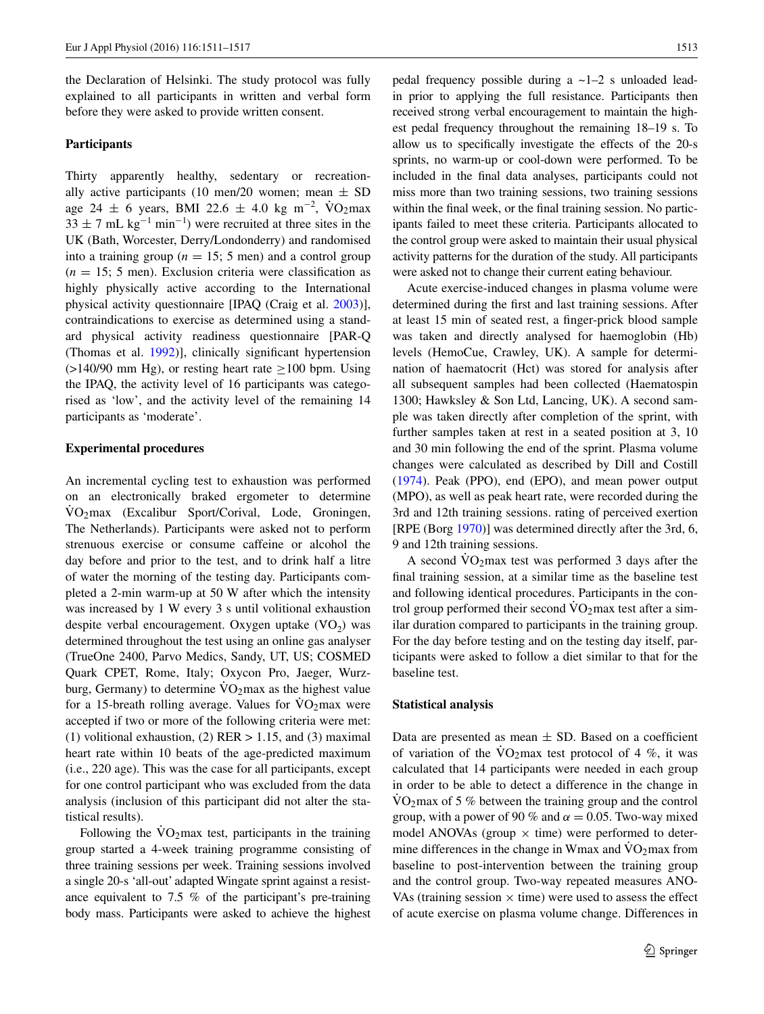the Declaration of Helsinki. The study protocol was fully explained to all participants in written and verbal form before they were asked to provide written consent.

#### **Participants**

Thirty apparently healthy, sedentary or recreationally active participants (10 men/20 women; mean  $\pm$  SD age 24 ± 6 years, BMI 22.6 ± 4.0 kg m<sup>-2</sup>, VO<sub>2</sub>max  $33 \pm 7$  mL kg<sup>-1</sup> min<sup>-1</sup>) were recruited at three sites in the UK (Bath, Worcester, Derry/Londonderry) and randomised into a training group ( $n = 15$ ; 5 men) and a control group  $(n = 15; 5$  men). Exclusion criteria were classification as highly physically active according to the International physical activity questionnaire [IPAQ (Craig et al. [2003\)](#page-5-19)], contraindications to exercise as determined using a standard physical activity readiness questionnaire [PAR-Q (Thomas et al. [1992](#page-6-11))], clinically significant hypertension  $(>140/90$  mm Hg), or resting heart rate  $>100$  bpm. Using the IPAQ, the activity level of 16 participants was categorised as 'low', and the activity level of the remaining 14 participants as 'moderate'.

#### **Experimental procedures**

An incremental cycling test to exhaustion was performed on an electronically braked ergometer to determine  $VO<sub>2</sub>max$  (Excalibur Sport/Corival, Lode, Groningen, The Netherlands). Participants were asked not to perform strenuous exercise or consume caffeine or alcohol the day before and prior to the test, and to drink half a litre of water the morning of the testing day. Participants completed a 2-min warm-up at 50 W after which the intensity was increased by 1 W every 3 s until volitional exhaustion despite verbal encouragement. Oxygen uptake  $(VO<sub>2</sub>)$  was determined throughout the test using an online gas analyser (TrueOne 2400, Parvo Medics, Sandy, UT, US; COSMED Quark CPET, Rome, Italy; Oxycon Pro, Jaeger, Wurzburg, Germany) to determine  $VO<sub>2</sub>$  max as the highest value for a 15-breath rolling average. Values for  $VO<sub>2</sub>$  max were accepted if two or more of the following criteria were met: (1) volitional exhaustion, (2)  $RER > 1.15$ , and (3) maximal heart rate within 10 beats of the age-predicted maximum (i.e., 220 age). This was the case for all participants, except for one control participant who was excluded from the data analysis (inclusion of this participant did not alter the statistical results).

Following the  $\rm\dot{V}O_2$  max test, participants in the training group started a 4-week training programme consisting of three training sessions per week. Training sessions involved a single 20-s 'all-out' adapted Wingate sprint against a resistance equivalent to 7.5 % of the participant's pre-training body mass. Participants were asked to achieve the highest

pedal frequency possible during a ~1–2 s unloaded leadin prior to applying the full resistance. Participants then received strong verbal encouragement to maintain the highest pedal frequency throughout the remaining 18–19 s. To allow us to specifically investigate the effects of the 20-s sprints, no warm-up or cool-down were performed. To be included in the final data analyses, participants could not miss more than two training sessions, two training sessions within the final week, or the final training session. No participants failed to meet these criteria. Participants allocated to the control group were asked to maintain their usual physical activity patterns for the duration of the study. All participants were asked not to change their current eating behaviour.

Acute exercise-induced changes in plasma volume were determined during the first and last training sessions. After at least 15 min of seated rest, a finger-prick blood sample was taken and directly analysed for haemoglobin (Hb) levels (HemoCue, Crawley, UK). A sample for determination of haematocrit (Hct) was stored for analysis after all subsequent samples had been collected (Haematospin 1300; Hawksley & Son Ltd, Lancing, UK). A second sample was taken directly after completion of the sprint, with further samples taken at rest in a seated position at 3, 10 and 30 min following the end of the sprint. Plasma volume changes were calculated as described by Dill and Costill [\(1974](#page-5-20)). Peak (PPO), end (EPO), and mean power output (MPO), as well as peak heart rate, were recorded during the 3rd and 12th training sessions. rating of perceived exertion [RPE (Borg [1970\)](#page-5-21)] was determined directly after the 3rd, 6, 9 and 12th training sessions.

A second  $\overline{V}O_2$  max test was performed 3 days after the final training session, at a similar time as the baseline test and following identical procedures. Participants in the control group performed their second  $\rm VO<sub>2</sub>max$  test after a similar duration compared to participants in the training group. For the day before testing and on the testing day itself, participants were asked to follow a diet similar to that for the baseline test.

#### **Statistical analysis**

Data are presented as mean  $\pm$  SD. Based on a coefficient of variation of the  $VO<sub>2</sub>max$  test protocol of 4 %, it was calculated that 14 participants were needed in each group in order to be able to detect a difference in the change in  $VO<sub>2</sub>max$  of 5 % between the training group and the control group, with a power of 90 % and  $\alpha = 0.05$ . Two-way mixed model ANOVAs (group  $\times$  time) were performed to determine differences in the change in Wmax and  $\rm\dot{VO}_{2}$ max from baseline to post-intervention between the training group and the control group. Two-way repeated measures ANO-VAs (training session  $\times$  time) were used to assess the effect of acute exercise on plasma volume change. Differences in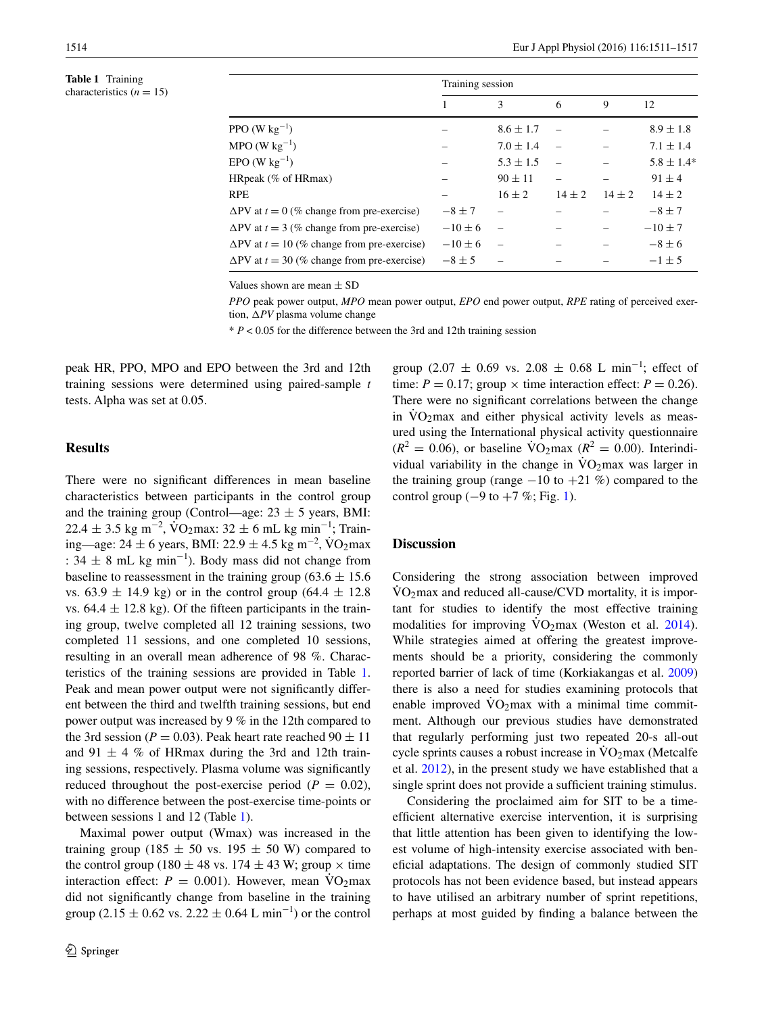<span id="page-3-0"></span>**Table 1** Training characteristics  $(n = 15)$ 

|                                                      | Training session |               |            |            |                |  |
|------------------------------------------------------|------------------|---------------|------------|------------|----------------|--|
|                                                      |                  | 3             | 6          | 9          | 12             |  |
| PPO (W $kg^{-1}$ )                                   |                  | $8.6 \pm 1.7$ |            |            | $8.9 \pm 1.8$  |  |
| $MPO$ (W kg <sup>-1</sup> )                          |                  | $7.0 \pm 1.4$ |            |            | $7.1 \pm 1.4$  |  |
| $EPO(W kg^{-1})$                                     |                  | $5.3 \pm 1.5$ |            |            | $5.8 \pm 1.4*$ |  |
| HRpeak (% of HRmax)                                  |                  | $90 \pm 11$   |            |            | $91 \pm 4$     |  |
| <b>RPE</b>                                           |                  | $16 \pm 2$    | $14 \pm 2$ | $14 \pm 2$ | $14 \pm 2$     |  |
| $\Delta$ PV at $t = 0$ (% change from pre-exercise)  | $-8 \pm 7$       |               |            |            | $-8 \pm 7$     |  |
| $\Delta$ PV at $t = 3$ (% change from pre-exercise)  | $-10\pm 6$       |               |            |            | $-10 \pm 7$    |  |
| $\Delta$ PV at $t = 10$ (% change from pre-exercise) | $-10\pm 6$       |               |            |            | $-8 \pm 6$     |  |
| $\Delta$ PV at $t = 30$ (% change from pre-exercise) | $-8\pm 5$        |               |            |            | $-1\pm 5$      |  |

Values shown are mean ± SD

*PPO* peak power output, *MPO* mean power output, *EPO* end power output, *RPE* rating of perceived exertion, Δ*PV* plasma volume change

 $* P < 0.05$  for the difference between the 3rd and 12th training session

peak HR, PPO, MPO and EPO between the 3rd and 12th training sessions were determined using paired-sample *t* tests. Alpha was set at 0.05.

# **Results**

There were no significant differences in mean baseline characteristics between participants in the control group and the training group (Control—age:  $23 \pm 5$  years, BMI:  $22.4 \pm 3.5$  kg m<sup>-2</sup>,  $\overrightarrow{VQ}_2$ max:  $32 \pm 6$  mL kg min<sup>-1</sup>; Training—age: 24 ± 6 years, BMI: 22.9 ± 4.5 kg m<sup>-2</sup>, VO<sub>2</sub>max :  $34 \pm 8$  mL kg min<sup>-1</sup>). Body mass did not change from baseline to reassessment in the training group ( $63.6 \pm 15.6$ ) vs.  $63.9 \pm 14.9$  kg) or in the control group  $(64.4 \pm 12.8$ vs.  $64.4 \pm 12.8$  kg). Of the fifteen participants in the training group, twelve completed all 12 training sessions, two completed 11 sessions, and one completed 10 sessions, resulting in an overall mean adherence of 98 %. Characteristics of the training sessions are provided in Table [1.](#page-3-0) Peak and mean power output were not significantly different between the third and twelfth training sessions, but end power output was increased by 9 % in the 12th compared to the 3rd session ( $P = 0.03$ ). Peak heart rate reached  $90 \pm 11$ and 91  $\pm$  4 % of HRmax during the 3rd and 12th training sessions, respectively. Plasma volume was significantly reduced throughout the post-exercise period ( $P = 0.02$ ), with no difference between the post-exercise time-points or between sessions 1 and 12 (Table [1\)](#page-3-0).

Maximal power output (Wmax) was increased in the training group (185  $\pm$  50 vs. 195  $\pm$  50 W) compared to the control group (180  $\pm$  48 vs. 174  $\pm$  43 W; group  $\times$  time interaction effect:  $P = 0.001$ ). However, mean  $\text{VO}_2$ max did not significantly change from baseline in the training group (2.15  $\pm$  0.62 vs. 2.22  $\pm$  0.64 L min<sup>-1</sup>) or the control

group (2.07  $\pm$  0.69 vs. 2.08  $\pm$  0.68 L min<sup>-1</sup>; effect of time:  $P = 0.17$ ; group  $\times$  time interaction effect:  $P = 0.26$ ). There were no significant correlations between the change in  $\rm\dot{VO}\gamma\text{max}$  and either physical activity levels as measured using the International physical activity questionnaire  $(R^2 = 0.06)$ , or baseline  $\text{VO}_2$ max  $(R^2 = 0.00)$ . Interindividual variability in the change in  $\rm{VO_2max}$  was larger in the training group (range  $-10$  to  $+21$  %) compared to the control group ( $-9$  to  $+7$  %; Fig. [1\)](#page-4-0).

# **Discussion**

Considering the strong association between improved  $\rm\dot{VO}_{2}$  max and reduced all-cause/CVD mortality, it is important for studies to identify the most effective training modalities for improving  $\overline{VO}$ <sub>2</sub>max (Weston et al. [2014](#page-6-2)). While strategies aimed at offering the greatest improvements should be a priority, considering the commonly reported barrier of lack of time (Korkiakangas et al. [2009\)](#page-5-6) there is also a need for studies examining protocols that enable improved  $VO<sub>2</sub>$  max with a minimal time commitment. Although our previous studies have demonstrated that regularly performing just two repeated 20-s all-out cycle sprints causes a robust increase in  $\rm VO_2$  max (Metcalfe et al. [2012\)](#page-6-7), in the present study we have established that a single sprint does not provide a sufficient training stimulus.

Considering the proclaimed aim for SIT to be a timeefficient alternative exercise intervention, it is surprising that little attention has been given to identifying the lowest volume of high-intensity exercise associated with beneficial adaptations. The design of commonly studied SIT protocols has not been evidence based, but instead appears to have utilised an arbitrary number of sprint repetitions, perhaps at most guided by finding a balance between the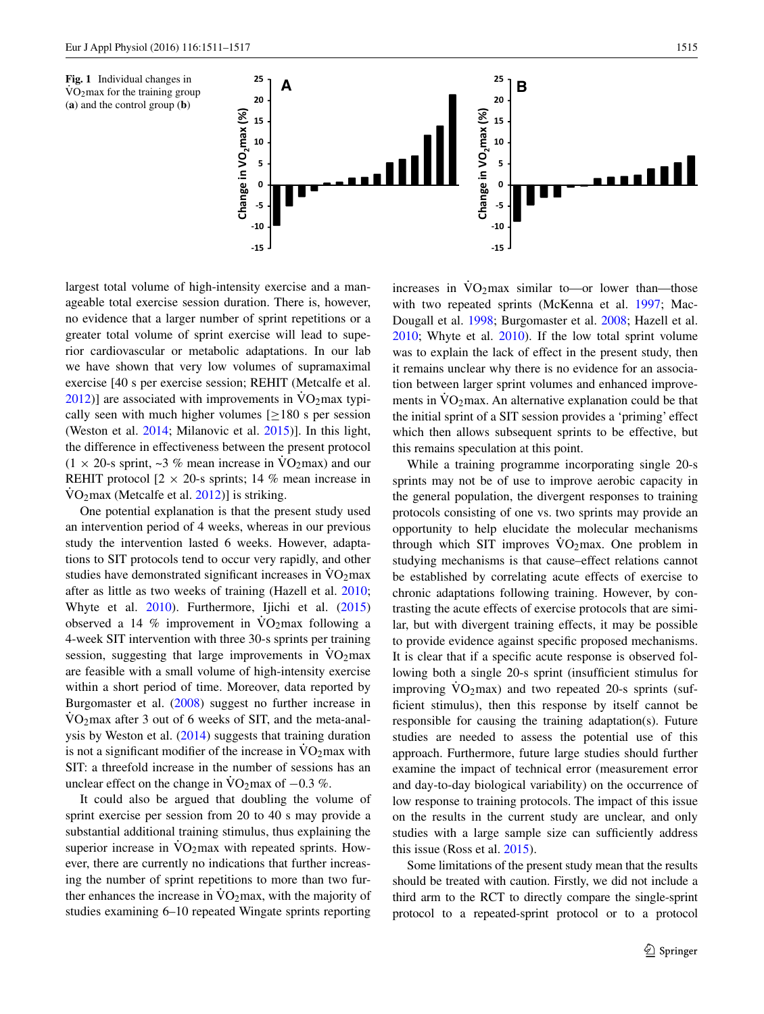<span id="page-4-0"></span>

largest total volume of high-intensity exercise and a manageable total exercise session duration. There is, however, no evidence that a larger number of sprint repetitions or a greater total volume of sprint exercise will lead to superior cardiovascular or metabolic adaptations. In our lab we have shown that very low volumes of supramaximal exercise [40 s per exercise session; REHIT (Metcalfe et al.  $2012$ )] are associated with improvements in  $\rm\ddot{V}O_2$  max typically seen with much higher volumes  $[>180$  s per session (Weston et al. [2014](#page-6-2); Milanovic et al. [2015\)](#page-6-5)]. In this light, the difference in effectiveness between the present protocol  $(1 \times 20)$ -s sprint, ~3 % mean increase in  $\text{VO}_2$  max) and our REHIT protocol  $[2 \times 20$ -s sprints; 14 % mean increase in  $\text{VO}_2$ max (Metcalfe et al. [2012](#page-6-7))] is striking.

One potential explanation is that the present study used an intervention period of 4 weeks, whereas in our previous study the intervention lasted 6 weeks. However, adaptations to SIT protocols tend to occur very rapidly, and other studies have demonstrated significant increases in  $\rm{VO_2max}$ after as little as two weeks of training (Hazell et al. [2010](#page-5-11); Whyte et al. [2010\)](#page-6-12). Furthermore, Ijichi et al. ([2015\)](#page-5-14) observed a 14 % improvement in  $\rm{VO_2max}$  following a 4-week SIT intervention with three 30-s sprints per training session, suggesting that large improvements in  $\rm{VO_2max}$ are feasible with a small volume of high-intensity exercise within a short period of time. Moreover, data reported by Burgomaster et al. [\(2008](#page-5-8)) suggest no further increase in  $\text{VO}_2$  max after 3 out of 6 weeks of SIT, and the meta-analysis by Weston et al. ([2014\)](#page-6-2) suggests that training duration is not a significant modifier of the increase in  $\rm\dot{VO}_2$  max with SIT: a threefold increase in the number of sessions has an unclear effect on the change in  $\text{VO}_2$ max of  $-0.3$  %.

It could also be argued that doubling the volume of sprint exercise per session from 20 to 40 s may provide a substantial additional training stimulus, thus explaining the superior increase in  $VO<sub>2</sub>$  max with repeated sprints. However, there are currently no indications that further increasing the number of sprint repetitions to more than two further enhances the increase in  $\rm\dot{VO}_2max$ , with the majority of studies examining 6–10 repeated Wingate sprints reporting increases in  $\dot{V}O_2$  max similar to—or lower than—those with two repeated sprints (McKenna et al. [1997](#page-6-13); Mac-Dougall et al. [1998;](#page-5-22) Burgomaster et al. [2008;](#page-5-8) Hazell et al. [2010](#page-5-11); Whyte et al. [2010](#page-6-12)). If the low total sprint volume was to explain the lack of effect in the present study, then it remains unclear why there is no evidence for an association between larger sprint volumes and enhanced improvements in  $\dot{V}O_2$  max. An alternative explanation could be that the initial sprint of a SIT session provides a 'priming' effect which then allows subsequent sprints to be effective, but this remains speculation at this point.

While a training programme incorporating single 20-s sprints may not be of use to improve aerobic capacity in the general population, the divergent responses to training protocols consisting of one vs. two sprints may provide an opportunity to help elucidate the molecular mechanisms through which SIT improves  $\dot{V}O_2$  max. One problem in studying mechanisms is that cause–effect relations cannot be established by correlating acute effects of exercise to chronic adaptations following training. However, by contrasting the acute effects of exercise protocols that are similar, but with divergent training effects, it may be possible to provide evidence against specific proposed mechanisms. It is clear that if a specific acute response is observed following both a single 20-s sprint (insufficient stimulus for improving  $VO<sub>2</sub>max$ ) and two repeated 20-s sprints (sufficient stimulus), then this response by itself cannot be responsible for causing the training adaptation(s). Future studies are needed to assess the potential use of this approach. Furthermore, future large studies should further examine the impact of technical error (measurement error and day-to-day biological variability) on the occurrence of low response to training protocols. The impact of this issue on the results in the current study are unclear, and only studies with a large sample size can sufficiently address this issue (Ross et al. [2015\)](#page-6-14).

Some limitations of the present study mean that the results should be treated with caution. Firstly, we did not include a third arm to the RCT to directly compare the single-sprint protocol to a repeated-sprint protocol or to a protocol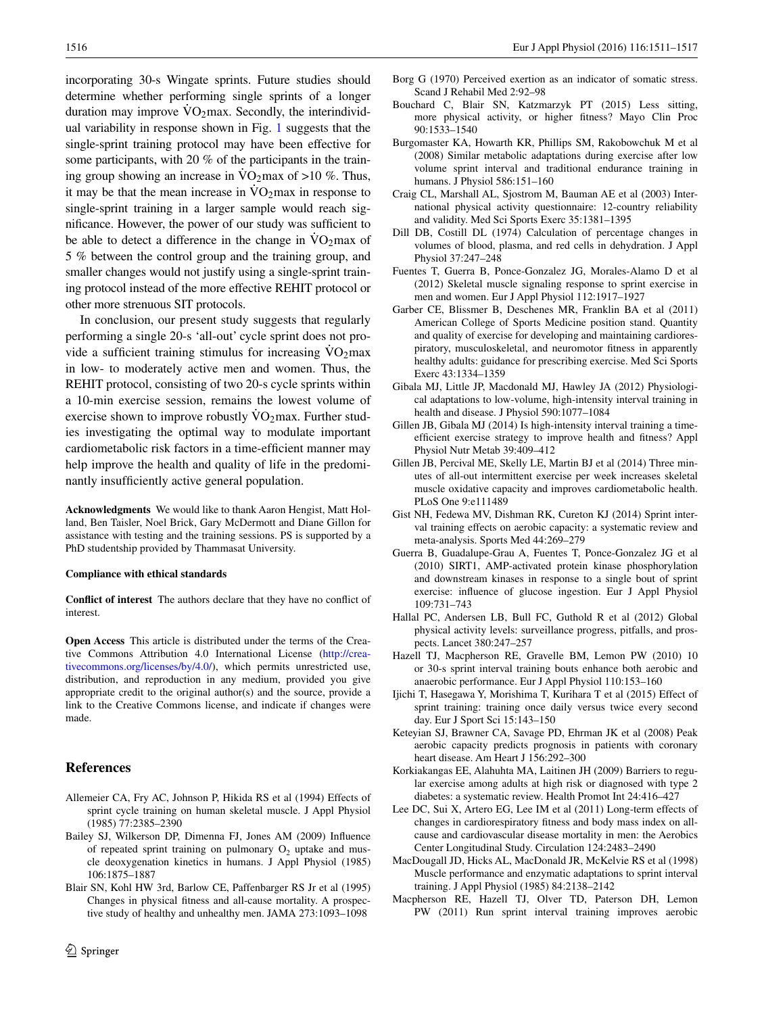incorporating 30-s Wingate sprints. Future studies should determine whether performing single sprints of a longer duration may improve  $\dot{V}O_2$  max. Secondly, the interindividual variability in response shown in Fig. [1](#page-4-0) suggests that the single-sprint training protocol may have been effective for some participants, with 20 % of the participants in the training group showing an increase in  $\text{VO}_2$  max of >10 %. Thus, it may be that the mean increase in  $\rm \dot{V}O_2$  max in response to single-sprint training in a larger sample would reach significance. However, the power of our study was sufficient to be able to detect a difference in the change in  $\rm \dot{V}O_2$  max of 5 % between the control group and the training group, and smaller changes would not justify using a single-sprint training protocol instead of the more effective REHIT protocol or other more strenuous SIT protocols.

In conclusion, our present study suggests that regularly performing a single 20-s 'all-out' cycle sprint does not provide a sufficient training stimulus for increasing  $\rm{VO_2max}$ in low- to moderately active men and women. Thus, the REHIT protocol, consisting of two 20-s cycle sprints within a 10-min exercise session, remains the lowest volume of exercise shown to improve robustly  $\rm \dot{V}O_2$  max. Further studies investigating the optimal way to modulate important cardiometabolic risk factors in a time-efficient manner may help improve the health and quality of life in the predominantly insufficiently active general population.

**Acknowledgments** We would like to thank Aaron Hengist, Matt Holland, Ben Taisler, Noel Brick, Gary McDermott and Diane Gillon for assistance with testing and the training sessions. PS is supported by a PhD studentship provided by Thammasat University.

#### **Compliance with ethical standards**

**Conflict of interest** The authors declare that they have no conflict of interest.

**Open Access** This article is distributed under the terms of the Creative Commons Attribution 4.0 International License ([http://crea](http://creativecommons.org/licenses/by/4.0/)[tivecommons.org/licenses/by/4.0/](http://creativecommons.org/licenses/by/4.0/)), which permits unrestricted use, distribution, and reproduction in any medium, provided you give appropriate credit to the original author(s) and the source, provide a link to the Creative Commons license, and indicate if changes were made.

## **References**

- <span id="page-5-13"></span>Allemeier CA, Fry AC, Johnson P, Hikida RS et al (1994) Effects of sprint cycle training on human skeletal muscle. J Appl Physiol (1985) 77:2385–2390
- <span id="page-5-9"></span>Bailey SJ, Wilkerson DP, Dimenna FJ, Jones AM (2009) Influence of repeated sprint training on pulmonary  $O_2$  uptake and muscle deoxygenation kinetics in humans. J Appl Physiol (1985) 106:1875–1887
- <span id="page-5-1"></span>Blair SN, Kohl HW 3rd, Barlow CE, Paffenbarger RS Jr et al (1995) Changes in physical fitness and all-cause mortality. A prospective study of healthy and unhealthy men. JAMA 273:1093–1098
- <span id="page-5-21"></span>Borg G (1970) Perceived exertion as an indicator of somatic stress. Scand J Rehabil Med 2:92–98
- <span id="page-5-3"></span>Bouchard C, Blair SN, Katzmarzyk PT (2015) Less sitting, more physical activity, or higher fitness? Mayo Clin Proc 90:1533–1540
- <span id="page-5-8"></span>Burgomaster KA, Howarth KR, Phillips SM, Rakobowchuk M et al (2008) Similar metabolic adaptations during exercise after low volume sprint interval and traditional endurance training in humans. J Physiol 586:151–160
- <span id="page-5-19"></span>Craig CL, Marshall AL, Sjostrom M, Bauman AE et al (2003) International physical activity questionnaire: 12-country reliability and validity. Med Sci Sports Exerc 35:1381–1395
- <span id="page-5-20"></span>Dill DB, Costill DL (1974) Calculation of percentage changes in volumes of blood, plasma, and red cells in dehydration. J Appl Physiol 37:247–248
- <span id="page-5-18"></span>Fuentes T, Guerra B, Ponce-Gonzalez JG, Morales-Alamo D et al (2012) Skeletal muscle signaling response to sprint exercise in men and women. Eur J Appl Physiol 112:1917–1927
- <span id="page-5-4"></span>Garber CE, Blissmer B, Deschenes MR, Franklin BA et al (2011) American College of Sports Medicine position stand. Quantity and quality of exercise for developing and maintaining cardiorespiratory, musculoskeletal, and neuromotor fitness in apparently healthy adults: guidance for prescribing exercise. Med Sci Sports Exerc 43:1334–1359
- <span id="page-5-16"></span>Gibala MJ, Little JP, Macdonald MJ, Hawley JA (2012) Physiological adaptations to low-volume, high-intensity interval training in health and disease. J Physiol 590:1077–1084
- <span id="page-5-7"></span>Gillen JB, Gibala MJ (2014) Is high-intensity interval training a timeefficient exercise strategy to improve health and fitness? Appl Physiol Nutr Metab 39:409–412
- <span id="page-5-12"></span>Gillen JB, Percival ME, Skelly LE, Martin BJ et al (2014) Three minutes of all-out intermittent exercise per week increases skeletal muscle oxidative capacity and improves cardiometabolic health. PLoS One 9:e111489
- <span id="page-5-15"></span>Gist NH, Fedewa MV, Dishman RK, Cureton KJ (2014) Sprint interval training effects on aerobic capacity: a systematic review and meta-analysis. Sports Med 44:269–279
- <span id="page-5-17"></span>Guerra B, Guadalupe-Grau A, Fuentes T, Ponce-Gonzalez JG et al (2010) SIRT1, AMP-activated protein kinase phosphorylation and downstream kinases in response to a single bout of sprint exercise: influence of glucose ingestion. Eur J Appl Physiol 109:731–743
- <span id="page-5-5"></span>Hallal PC, Andersen LB, Bull FC, Guthold R et al (2012) Global physical activity levels: surveillance progress, pitfalls, and prospects. Lancet 380:247–257
- <span id="page-5-11"></span>Hazell TJ, Macpherson RE, Gravelle BM, Lemon PW (2010) 10 or 30-s sprint interval training bouts enhance both aerobic and anaerobic performance. Eur J Appl Physiol 110:153–160
- <span id="page-5-14"></span>Ijichi T, Hasegawa Y, Morishima T, Kurihara T et al (2015) Effect of sprint training: training once daily versus twice every second day. Eur J Sport Sci 15:143–150
- <span id="page-5-0"></span>Keteyian SJ, Brawner CA, Savage PD, Ehrman JK et al (2008) Peak aerobic capacity predicts prognosis in patients with coronary heart disease. Am Heart J 156:292–300
- <span id="page-5-6"></span>Korkiakangas EE, Alahuhta MA, Laitinen JH (2009) Barriers to regular exercise among adults at high risk or diagnosed with type 2 diabetes: a systematic review. Health Promot Int 24:416–427
- <span id="page-5-2"></span>Lee DC, Sui X, Artero EG, Lee IM et al (2011) Long-term effects of changes in cardiorespiratory fitness and body mass index on allcause and cardiovascular disease mortality in men: the Aerobics Center Longitudinal Study. Circulation 124:2483–2490
- <span id="page-5-22"></span>MacDougall JD, Hicks AL, MacDonald JR, McKelvie RS et al (1998) Muscle performance and enzymatic adaptations to sprint interval training. J Appl Physiol (1985) 84:2138–2142
- <span id="page-5-10"></span>Macpherson RE, Hazell TJ, Olver TD, Paterson DH, Lemon PW (2011) Run sprint interval training improves aerobic